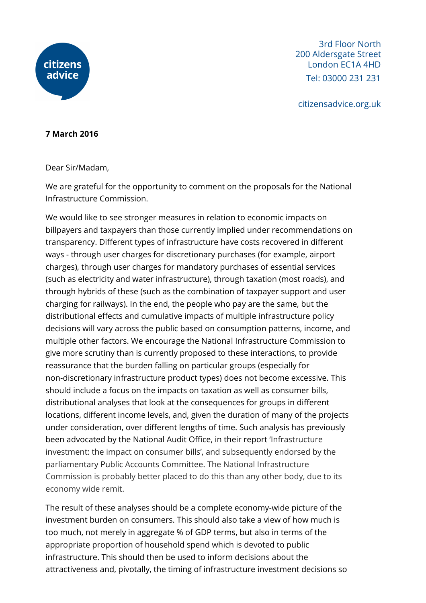

3rd Floor North 200 Aldersgate Street London EC1A 4HD Tel: 03000 231 231

citizensadvice.org.uk

## **7 March 2016**

Dear Sir/Madam,

We are grateful for the opportunity to comment on the proposals for the National Infrastructure Commission.

We would like to see stronger measures in relation to economic impacts on billpayers and taxpayers than those currently implied under recommendations on transparency. Different types of infrastructure have costs recovered in different ways - through user charges for discretionary purchases (for example, airport charges), through user charges for mandatory purchases of essential services (such as electricity and water infrastructure), through taxation (most roads), and through hybrids of these (such as the combination of taxpayer support and user charging for railways). In the end, the people who pay are the same, but the distributional effects and cumulative impacts of multiple infrastructure policy decisions will vary across the public based on consumption patterns, income, and multiple other factors. We encourage the National Infrastructure Commission to give more scrutiny than is currently proposed to these interactions, to provide reassurance that the burden falling on particular groups (especially for non-discretionary infrastructure product types) does not become excessive. This should include a focus on the impacts on taxation as well as consumer bills, distributional analyses that look at the consequences for groups in different locations, different income levels, and, given the duration of many of the projects under consideration, over different lengths of time. Such analysis has previously been advocated by the National Audit Office, in their report 'Infrastructure investment: the impact on consumer bills', and subsequently endorsed by the parliamentary Public Accounts Committee. The National Infrastructure Commission is probably better placed to do this than any other body, due to its economy wide remit.

The result of these analyses should be a complete economy-wide picture of the investment burden on consumers. This should also take a view of how much is too much, not merely in aggregate % of GDP terms, but also in terms of the appropriate proportion of household spend which is devoted to public infrastructure. This should then be used to inform decisions about the attractiveness and, pivotally, the timing of infrastructure investment decisions so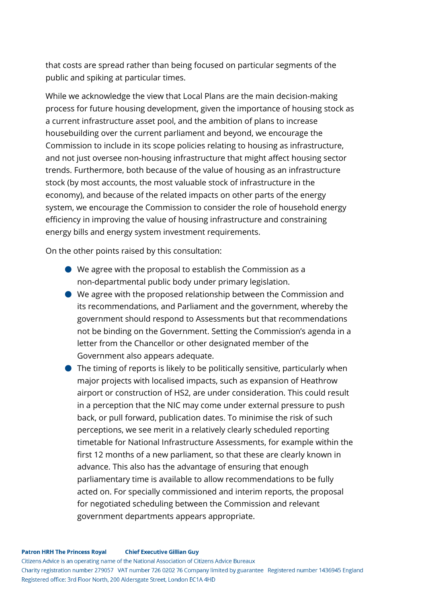that costs are spread rather than being focused on particular segments of the public and spiking at particular times.

While we acknowledge the view that Local Plans are the main decision-making process for future housing development, given the importance of housing stock as a current infrastructure asset pool, and the ambition of plans to increase housebuilding over the current parliament and beyond, we encourage the Commission to include in its scope policies relating to housing as infrastructure, and not just oversee non-housing infrastructure that might affect housing sector trends. Furthermore, both because of the value of housing as an infrastructure stock (by most accounts, the most valuable stock of infrastructure in the economy), and because of the related impacts on other parts of the energy system, we encourage the Commission to consider the role of household energy efficiency in improving the value of housing infrastructure and constraining energy bills and energy system investment requirements.

On the other points raised by this consultation:

- We agree with the proposal to establish the Commission as a non-departmental public body under primary legislation.
- We agree with the proposed relationship between the Commission and its recommendations, and Parliament and the government, whereby the government should respond to Assessments but that recommendations not be binding on the Government. Setting the Commission's agenda in a letter from the Chancellor or other designated member of the Government also appears adequate.
- The timing of reports is likely to be politically sensitive, particularly when major projects with localised impacts, such as expansion of Heathrow airport or construction of HS2, are under consideration. This could result in a perception that the NIC may come under external pressure to push back, or pull forward, publication dates. To minimise the risk of such perceptions, we see merit in a relatively clearly scheduled reporting timetable for National Infrastructure Assessments, for example within the first 12 months of a new parliament, so that these are clearly known in advance. This also has the advantage of ensuring that enough parliamentary time is available to allow recommendations to be fully acted on. For specially commissioned and interim reports, the proposal for negotiated scheduling between the Commission and relevant government departments appears appropriate.